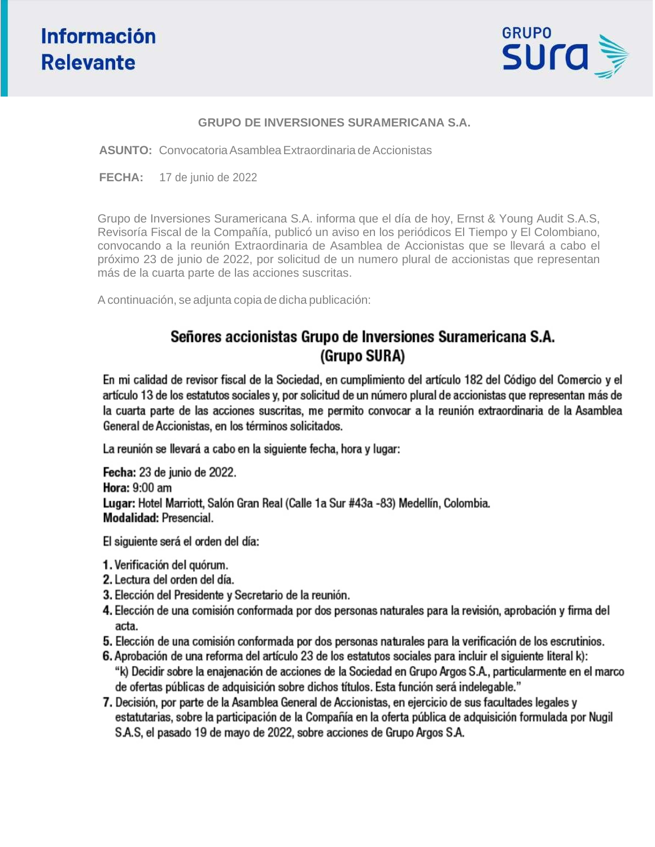

### **GRUPO DE INVERSIONES SURAMERICANA S.A.**

**ASUNTO:** Convocatoria Asamblea Extraordinaria de Accionistas

**FECHA:** 17 de junio de 2022

Grupo de Inversiones Suramericana S.A. informa que el día de hoy, Ernst & Young Audit S.A.S, Revisoría Fiscal de la Compañía, publicó un aviso en los periódicos El Tiempo y El Colombiano, convocando a la reunión Extraordinaria de Asamblea de Accionistas que se llevará a cabo el próximo 23 de junio de 2022, por solicitud de un numero plural de accionistas que representan más de la cuarta parte de las acciones suscritas.

A continuación, se adjunta copia de dicha publicación:

## Señores accionistas Grupo de Inversiones Suramericana S.A. (Grupo SURA)

En mi calidad de revisor fiscal de la Sociedad, en cumplimiento del artículo 182 del Código del Comercio y el artículo 13 de los estatutos sociales y, por solicitud de un número plural de accionistas que representan más de la cuarta parte de las acciones suscritas, me permito convocar a la reunión extraordinaria de la Asamblea General de Accionistas, en los términos solicitados.

La reunión se llevará a cabo en la siguiente fecha, hora y lugar:

Fecha: 23 de junio de 2022. **Hora: 9:00 am** Lugar: Hotel Marriott, Salón Gran Real (Calle 1a Sur #43a -83) Medellín, Colombia. Modalidad: Presencial.

El siguiente será el orden del día:

- 1. Verificación del quórum.
- 2. Lectura del orden del día.
- 3. Elección del Presidente y Secretario de la reunión.
- 4. Elección de una comisión conformada por dos personas naturales para la revisión, aprobación y firma del acta.
- 5. Elección de una comisión conformada por dos personas naturales para la verificación de los escrutinios.
- 6. Aprobación de una reforma del artículo 23 de los estatutos sociales para incluir el siguiente literal k): "k) Decidir sobre la enajenación de acciones de la Sociedad en Grupo Argos S.A., particularmente en el marco de ofertas públicas de adquisición sobre dichos títulos. Esta función será indelegable."
- 7. Decisión, por parte de la Asamblea General de Accionistas, en ejercicio de sus facultades legales y estatutarias, sobre la participación de la Compañía en la oferta pública de adquisición formulada por Nugil S.A.S, el pasado 19 de mayo de 2022, sobre acciones de Grupo Argos S.A.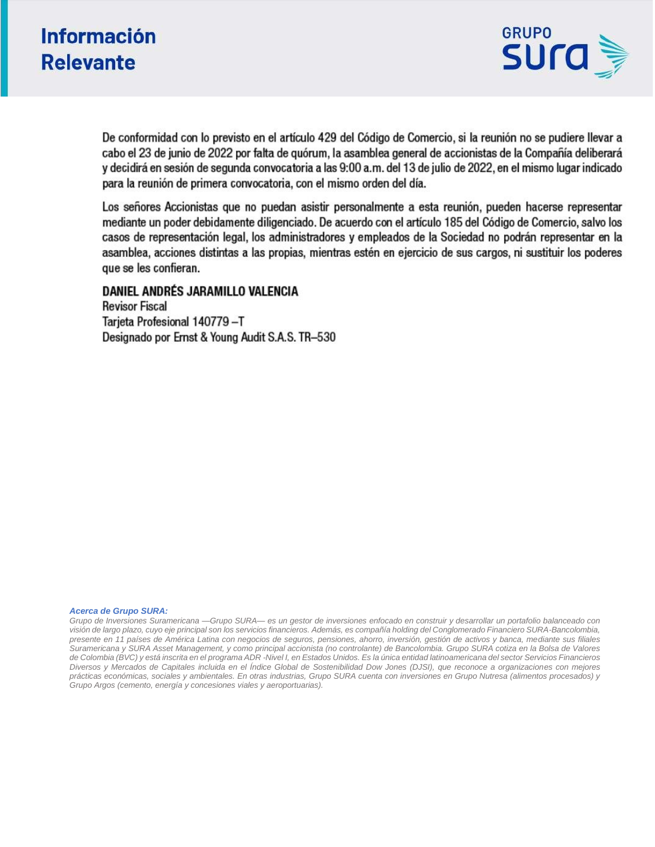# **Información Relevante**



De conformidad con lo previsto en el artículo 429 del Código de Comercio, si la reunión no se pudiere llevar a cabo el 23 de junio de 2022 por falta de quórum, la asamblea general de accionistas de la Compañía deliberará y decidirá en sesión de segunda convocatoria a las 9:00 a.m. del 13 de julio de 2022, en el mismo lugar indicado para la reunión de primera convocatoria, con el mismo orden del día.

Los señores Accionistas que no puedan asistir personalmente a esta reunión, pueden hacerse representar mediante un poder debidamente diligenciado. De acuerdo con el artículo 185 del Código de Comercio, salvo los casos de representación legal, los administradores y empleados de la Sociedad no podrán representar en la asamblea, acciones distintas a las propias, mientras estén en ejercicio de sus cargos, ni sustituir los poderes que se les confieran.

## DANIEL ANDRÉS JARAMILLO VALENCIA

**Revisor Fiscal** Tarjeta Profesional 140779-T Designado por Ernst & Young Audit S.A.S. TR-530

#### *Acerca de Grupo SURA:*

*Grupo de Inversiones Suramericana —Grupo SURA— es un gestor de inversiones enfocado en construir y desarrollar un portafolio balanceado con*  visión de largo plazo, cuyo eje principal son los servicios financieros. Además, es compañía holding del Conglomerado Financiero SURA-Bancolombia, *presente en 11 países de América Latina con negocios de seguros, pensiones, ahorro, inversión, gestión de activos y banca, mediante sus filiales Suramericana y SURA Asset Management, y como principal accionista (no controlante) de Bancolombia. Grupo SURA cotiza en la Bolsa de Valores de Colombia (BVC) y está inscrita en el programa ADR -Nivel I, en Estados Unidos. Es la única entidad latinoamericana del sector Servicios Financieros Diversos y Mercados de Capitales incluida en el Índice Global de Sostenibilidad Dow Jones (DJSI), que reconoce a organizaciones con mejores prácticas económicas, sociales y ambientales. En otras industrias, Grupo SURA cuenta con inversiones en Grupo Nutresa (alimentos procesados) y Grupo Argos (cemento, energía y concesiones viales y aeroportuarias).*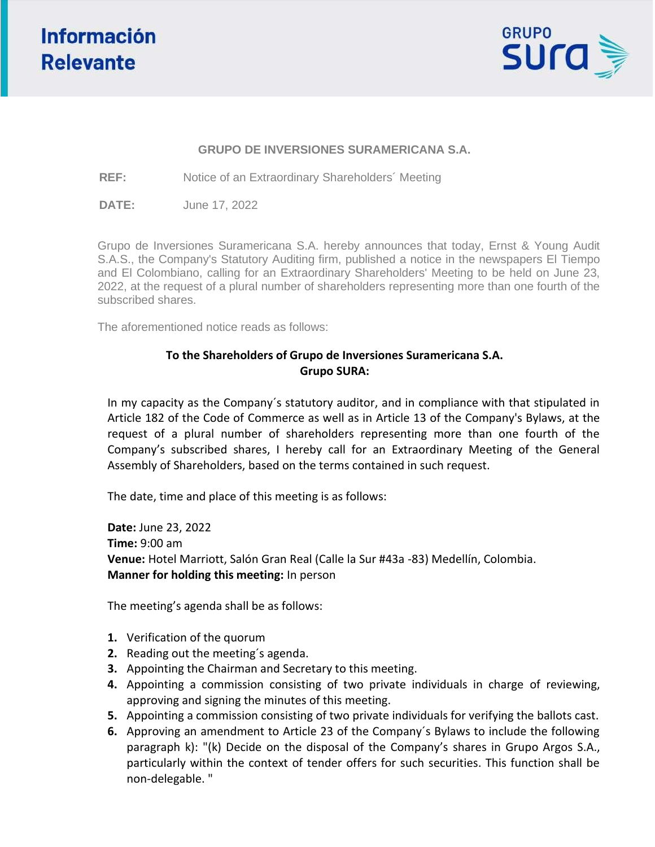

### **GRUPO DE INVERSIONES SURAMERICANA S.A.**

**REF:** Notice of an Extraordinary Shareholders´ Meeting

**DATE:** June 17, 2022

Grupo de Inversiones Suramericana S.A. hereby announces that today, Ernst & Young Audit S.A.S., the Company's Statutory Auditing firm, published a notice in the newspapers El Tiempo and El Colombiano, calling for an Extraordinary Shareholders' Meeting to be held on June 23, 2022, at the request of a plural number of shareholders representing more than one fourth of the subscribed shares.

The aforementioned notice reads as follows:

## **To the Shareholders of Grupo de Inversiones Suramericana S.A. Grupo SURA:**

In my capacity as the Company´s statutory auditor, and in compliance with that stipulated in Article 182 of the Code of Commerce as well as in Article 13 of the Company's Bylaws, at the request of a plural number of shareholders representing more than one fourth of the Company's subscribed shares, I hereby call for an Extraordinary Meeting of the General Assembly of Shareholders, based on the terms contained in such request.

The date, time and place of this meeting is as follows:

**Date:** June 23, 2022 **Time:** 9:00 am **Venue:** Hotel Marriott, Salón Gran Real (Calle la Sur #43a -83) Medellín, Colombia. **Manner for holding this meeting:** In person

The meeting's agenda shall be as follows:

- **1.** Verification of the quorum
- **2.** Reading out the meeting´s agenda.
- **3.** Appointing the Chairman and Secretary to this meeting.
- **4.** Appointing a commission consisting of two private individuals in charge of reviewing, approving and signing the minutes of this meeting.
- **5.** Appointing a commission consisting of two private individuals for verifying the ballots cast.
- **6.** Approving an amendment to Article 23 of the Company´s Bylaws to include the following paragraph k): "(k) Decide on the disposal of the Company's shares in Grupo Argos S.A., particularly within the context of tender offers for such securities. This function shall be non-delegable. "